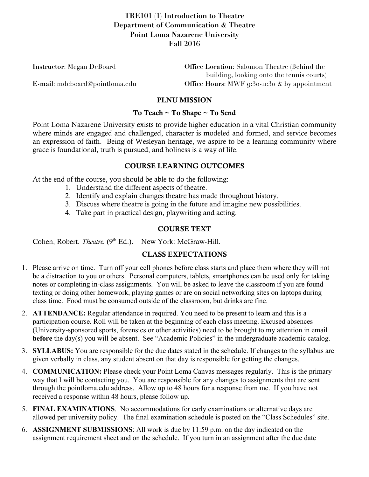# **TRE101 (1) Introduction to Theatre Department of Communication & Theatre Point Loma Nazarene University Fall 2016**

| <b>Instructor:</b> Megan DeBoard | <b>Office Location:</b> Salomon Theatre (Behind the |
|----------------------------------|-----------------------------------------------------|
|                                  | building, looking onto the tennis courts)           |
| E-mail: mdeboard@pointloma.edu   | Office Hours: MWF 9:30-11:30 & by appointment       |

# PLNU MISSION

#### To Teach ~ To Shape ~ To Send

Point Loma Nazarene University exists to provide higher education in a vital Christian community where minds are engaged and challenged, character is modeled and formed, and service becomes an expression of faith. Being of Wesleyan heritage, we aspire to be a learning community where grace is foundational, truth is pursued, and holiness is a way of life.

# COURSE LEARNING OUTCOMES

At the end of the course, you should be able to do the following:

- 1. Understand the different aspects of theatre.
- 2. Identify and explain changes theatre has made throughout history.
- 3. Discuss where theatre is going in the future and imagine new possibilities.
- 4. Take part in practical design, playwriting and acting.

# COURSE TEXT

Cohen, Robert. *Theatre.* (9<sup>th</sup> Ed.). New York: McGraw-Hill.

# CLASS EXPECTATIONS

- 1. Please arrive on time. Turn off your cell phones before class starts and place them where they will not be a distraction to you or others. Personal computers, tablets, smartphones can be used only for taking notes or completing in-class assignments. You will be asked to leave the classroom if you are found texting or doing other homework, playing games or are on social networking sites on laptops during class time. Food must be consumed outside of the classroom, but drinks are fine.
- 2. **ATTENDANCE:** Regular attendance in required. You need to be present to learn and this is a participation course. Roll will be taken at the beginning of each class meeting. Excused absences (University-sponsored sports, forensics or other activities) need to be brought to my attention in email **before** the day(s) you will be absent. See "Academic Policies" in the undergraduate academic catalog.
- 3. **SYLLABUS:** You are responsible for the due dates stated in the schedule. If changes to the syllabus are given verbally in class, any student absent on that day is responsible for getting the changes.
- 4. **COMMUNICATION:** Please check your Point Loma Canvas messages regularly. This is the primary way that I will be contacting you. You are responsible for any changes to assignments that are sent through the pointloma.edu address. Allow up to 48 hours for a response from me. If you have not received a response within 48 hours, please follow up.
- 5. **FINAL EXAMINATIONS**. No accommodations for early examinations or alternative days are allowed per university policy. The final examination schedule is posted on the "Class Schedules" site.
- 6. **ASSIGNMENT SUBMISSIONS**: All work is due by 11:59 p.m. on the day indicated on the assignment requirement sheet and on the schedule. If you turn in an assignment after the due date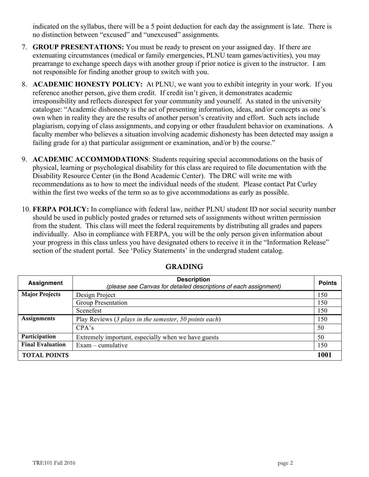indicated on the syllabus, there will be a 5 point deduction for each day the assignment is late. There is no distinction between "excused" and "unexcused" assignments.

- 7. **GROUP PRESENTATIONS:** You must be ready to present on your assigned day. If there are extenuating circumstances (medical or family emergencies, PLNU team games/activities), you may prearrange to exchange speech days with another group if prior notice is given to the instructor. I am not responsible for finding another group to switch with you.
- 8. **ACADEMIC HONESTY POLICY:** At PLNU, we want you to exhibit integrity in your work. If you reference another person, give them credit. If credit isn't given, it demonstrates academic irresponsibility and reflects disrespect for your community and yourself. As stated in the university catalogue: "Academic dishonesty is the act of presenting information, ideas, and/or concepts as one's own when in reality they are the results of another person's creativity and effort. Such acts include plagiarism, copying of class assignments, and copying or other fraudulent behavior on examinations. A faculty member who believes a situation involving academic dishonesty has been detected may assign a failing grade for a) that particular assignment or examination, and/or b) the course."
- 9. **ACADEMIC ACCOMMODATIONS**: Students requiring special accommodations on the basis of physical, learning or psychological disability for this class are required to file documentation with the Disability Resource Center (in the Bond Academic Center). The DRC will write me with recommendations as to how to meet the individual needs of the student. Please contact Pat Curley within the first two weeks of the term so as to give accommodations as early as possible.
- 10. **FERPA POLICY:** In compliance with federal law, neither PLNU student ID nor social security number should be used in publicly posted grades or returned sets of assignments without written permission from the student. This class will meet the federal requirements by distributing all grades and papers individually. Also in compliance with FERPA, you will be the only person given information about your progress in this class unless you have designated others to receive it in the "Information Release" section of the student portal. See 'Policy Statements' in the undergrad student catalog.

| <b>Assignment</b>       | <b>Description</b><br>(please see Canvas for detailed descriptions of each assignment) | <b>Points</b> |
|-------------------------|----------------------------------------------------------------------------------------|---------------|
| <b>Major Projects</b>   | Design Project                                                                         | 150           |
|                         | Group Presentation                                                                     | 150           |
|                         | Scenefest                                                                              | 150           |
| <b>Assignments</b>      | Play Reviews (3 plays in the semester, 50 points each)                                 | 150           |
|                         | CPA's                                                                                  | 50            |
| Participation           | Extremely important, especially when we have guests                                    | 50            |
| <b>Final Evaluation</b> | $Exam$ – cumulative                                                                    | 150           |
| <b>TOTAL POINTS</b>     |                                                                                        | 1001          |

# GRADING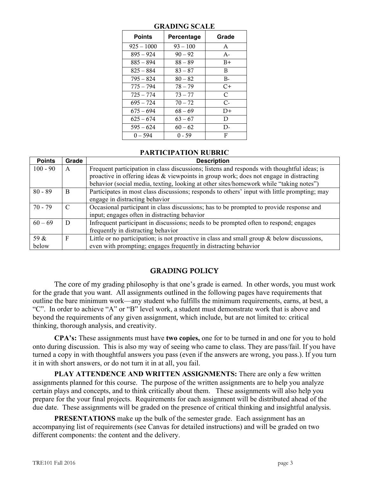| <b>Points</b> | Percentage | Grade |
|---------------|------------|-------|
| $925 - 1000$  | $93 - 100$ | A     |
| $895 - 924$   | $90 - 92$  | $A -$ |
| $885 - 894$   | $88 - 89$  | $B+$  |
| $825 - 884$   | $83 - 87$  | B     |
| $795 - 824$   | $80 - 82$  | B-    |
| 775 – 794     | 78 – 79    | $C+$  |
| $725 - 774$   | $73 - 77$  | C     |
| $695 - 724$   | $70 - 72$  | $C-$  |
| $675 - 694$   | $68 - 69$  | $D+$  |
| $625 - 674$   | $63 - 67$  | D     |
| $595 - 624$   | $60 - 62$  | D-    |
| $0 - 594$     | $0 - 59$   | F     |

## **GRADING SCALE**

#### **PARTICIPATION RUBRIC**

| <b>Points</b> | Grade | <b>Description</b>                                                                            |
|---------------|-------|-----------------------------------------------------------------------------------------------|
| $100 - 90$    | A     | Frequent participation in class discussions; listens and responds with thoughtful ideas; is   |
|               |       | proactive in offering ideas & viewpoints in group work; does not engage in distracting        |
|               |       | behavior (social media, texting, looking at other sites/homework while "taking notes")        |
| $80 - 89$     | B     | Participates in most class discussions; responds to others' input with little prompting; may  |
|               |       | engage in distracting behavior                                                                |
| $70 - 79$     | C     | Occasional participant in class discussions; has to be prompted to provide response and       |
|               |       | input; engages often in distracting behavior                                                  |
| $60 - 69$     | D     | Infrequent participant in discussions; needs to be prompted often to respond; engages         |
|               |       | frequently in distracting behavior                                                            |
| 59 &          | F     | Little or no participation; is not proactive in class and small group $\&$ below discussions, |
| below         |       | even with prompting; engages frequently in distracting behavior                               |

# GRADING POLICY

The core of my grading philosophy is that one's grade is earned. In other words, you must work for the grade that you want. All assignments outlined in the following pages have requirements that outline the bare minimum work—any student who fulfills the minimum requirements, earns, at best, a "C". In order to achieve "A" or "B" level work, a student must demonstrate work that is above and beyond the requirements of any given assignment, which include, but are not limited to: critical thinking, thorough analysis, and creativity.

**CPA's:** These assignments must have **two copies,** one for to be turned in and one for you to hold onto during discussion. This is also my way of seeing who came to class. They are pass/fail. If you have turned a copy in with thoughtful answers you pass (even if the answers are wrong, you pass.). If you turn it in with short answers, or do not turn it in at all, you fail.

**PLAY ATTENDENCE AND WRITTEN ASSIGNMENTS:** There are only a few written assignments planned for this course. The purpose of the written assignments are to help you analyze certain plays and concepts, and to think critically about them. These assignments will also help you prepare for the your final projects. Requirements for each assignment will be distributed ahead of the due date. These assignments will be graded on the presence of critical thinking and insightful analysis.

**PRESENTATIONS** make up the bulk of the semester grade. Each assignment has an accompanying list of requirements (see Canvas for detailed instructions) and will be graded on two different components: the content and the delivery.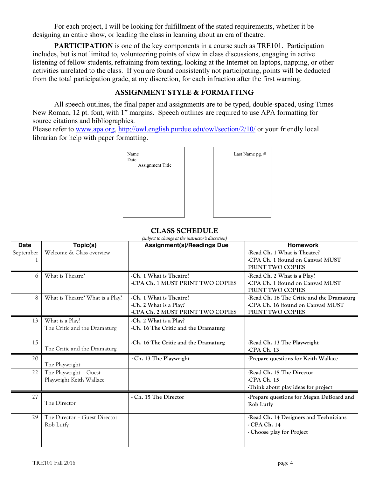For each project, I will be looking for fulfillment of the stated requirements, whether it be designing an entire show, or leading the class in learning about an era of theatre.

**PARTICIPATION** is one of the key components in a course such as TRE101. Participation includes, but is not limited to, volunteering points of view in class discussions, engaging in active listening of fellow students, refraining from texting, looking at the Internet on laptops, napping, or other activities unrelated to the class. If you are found consistently not participating, points will be deducted from the total participation grade, at my discretion, for each infraction after the first warning.

## ASSIGNMENT STYLE & FORMATTING

All speech outlines, the final paper and assignments are to be typed, double-spaced, using Times New Roman, 12 pt. font, with 1" margins. Speech outlines are required to use APA formatting for source citations and bibliographies.

Please refer to www.apa.org, http://owl.english.purdue.edu/owl/section/2/10/ or your friendly local librarian for help with paper formatting.



## CLASS SCHEDULE

| (subject to change at the instructor's discretion) |                                  |                                      |                                           |
|----------------------------------------------------|----------------------------------|--------------------------------------|-------------------------------------------|
| <b>Date</b>                                        | Topic(s)                         | <b>Assignment(s)/Readings Due</b>    | <b>Homework</b>                           |
| September                                          | Welcome & Class overview         |                                      | -Read Ch. 1 What is Theatre?              |
|                                                    |                                  |                                      | -CPA Ch. 1 (found on Canvas) MUST         |
|                                                    |                                  |                                      | PRINT TWO COPIES                          |
| 6                                                  | What is Theatre?                 | -Ch. 1 What is Theatre?              | -Read Ch. 2 What is a Play?               |
|                                                    |                                  | -CPA Ch. 1 MUST PRINT TWO COPIES     | -CPA Ch. 1 (found on Canvas) MUST         |
|                                                    |                                  |                                      | PRINT TWO COPIES                          |
| 8                                                  | What is Theatre? What is a Play? | -Ch. 1 What is Theatre?              | -Read Ch. 16 The Critic and the Dramaturg |
|                                                    |                                  | -Ch. 2 What is a Play?               | -CPA Ch. 16 (found on Canvas) MUST        |
|                                                    |                                  | -CPA Ch. 2 MUST PRINT TWO COPIES     | PRINT TWO COPIES                          |
| 13                                                 | What is a Play?                  | -Ch. 2 What is a Play?               |                                           |
|                                                    | The Critic and the Dramaturg     | -Ch. 16 The Critic and the Dramaturg |                                           |
|                                                    |                                  |                                      |                                           |
| 15                                                 |                                  | -Ch. 16 The Critic and the Dramaturg | -Read Ch. 13 The Playwright               |
|                                                    | The Critic and the Dramaturg     |                                      | -CPA Ch. 13                               |
| 20                                                 |                                  | - Ch. 13 The Playwright              | -Prepare questions for Keith Wallace      |
|                                                    | The Playwright                   |                                      |                                           |
| 22                                                 | The Playwright - Guest           |                                      | -Read Ch. 15 The Director                 |
|                                                    | Playwright Keith Wallace         |                                      | -CPA Ch. 15                               |
|                                                    |                                  |                                      | Think about play ideas for project        |
| 27                                                 |                                  | - Ch. 15 The Director                | -Prepare questions for Megan DeBoard and  |
|                                                    | The Director                     |                                      | Rob Lutfy                                 |
|                                                    |                                  |                                      |                                           |
| 29                                                 | The Director - Guest Director    |                                      | -Read Ch. 14 Designers and Technicians    |
|                                                    | Rob Lutfy                        |                                      | $-CPA$ Ch. 14                             |
|                                                    |                                  |                                      | - Choose play for Project                 |
|                                                    |                                  |                                      |                                           |